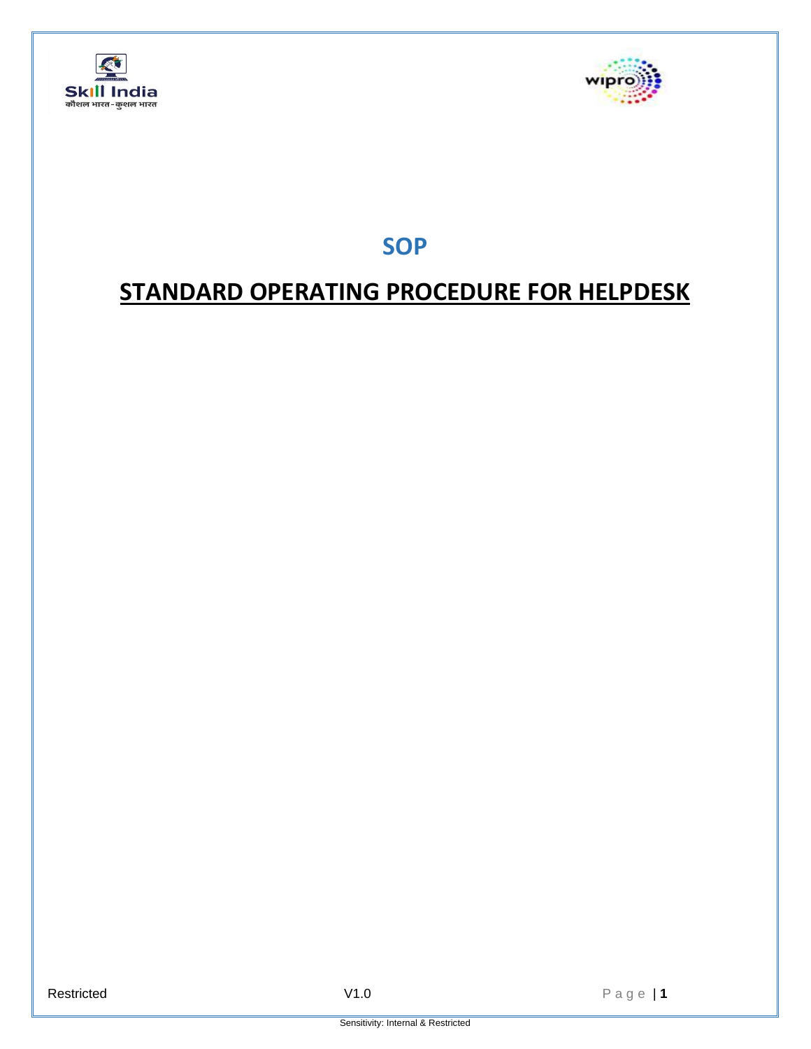



**SOP**

# **STANDARD OPERATING PROCEDURE FOR HELPDESK**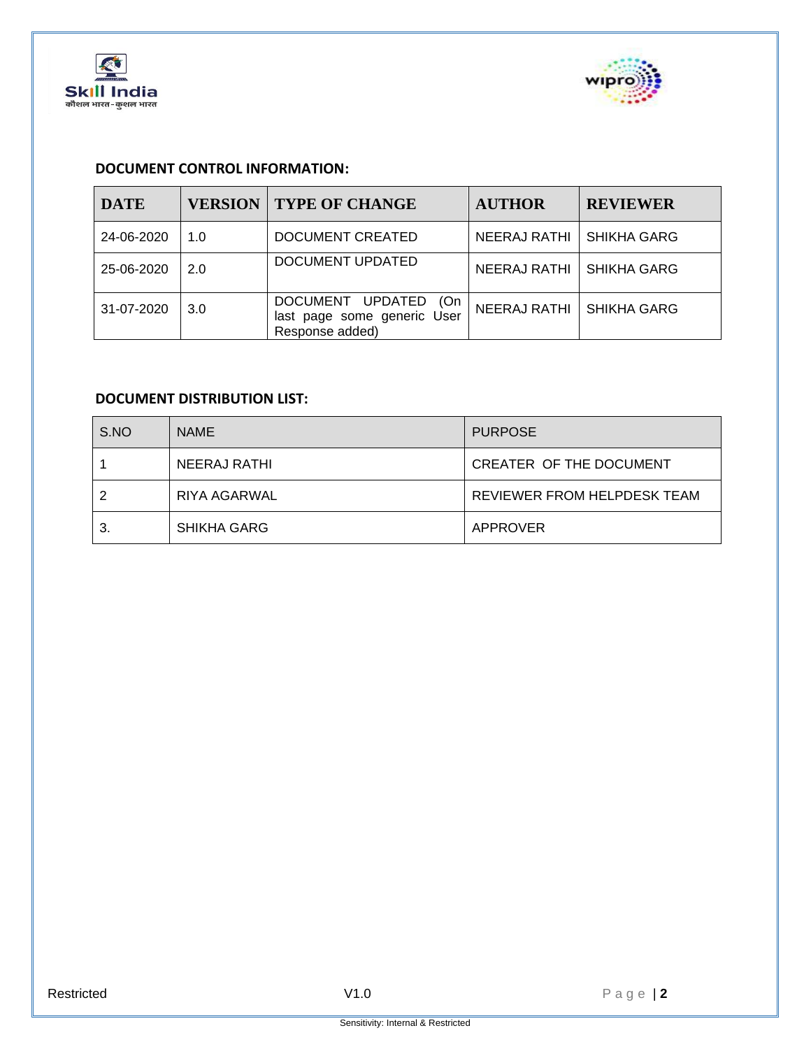



## **DOCUMENT CONTROL INFORMATION:**

| <b>DATE</b> | <b>VERSION</b> | <b>TYPE OF CHANGE</b>                                                                      | <b>AUTHOR</b>       | <b>REVIEWER</b>    |
|-------------|----------------|--------------------------------------------------------------------------------------------|---------------------|--------------------|
| 24-06-2020  | 1.0            | DOCUMENT CREATED                                                                           | <b>NEERAJ RATHI</b> | <b>SHIKHA GARG</b> |
| 25-06-2020  | 2.0            | DOCUMENT UPDATED                                                                           | NEERAJ RATHI        | <b>SHIKHA GARG</b> |
| 31-07-2020  | 3.0            | <b>DOCUMENT</b><br><b>UPDATED</b><br>(On<br>last page some generic User<br>Response added) | <b>NEERAJ RATHI</b> | <b>SHIKHA GARG</b> |

# **DOCUMENT DISTRIBUTION LIST:**

| S.NO | <b>NAME</b>        | <b>PURPOSE</b>              |
|------|--------------------|-----------------------------|
|      | NEERAJ RATHI       | CREATER OF THE DOCUMENT     |
|      | RIYA AGARWAL       | REVIEWER FROM HELPDESK TEAM |
| З.   | <b>SHIKHA GARG</b> | APPROVER                    |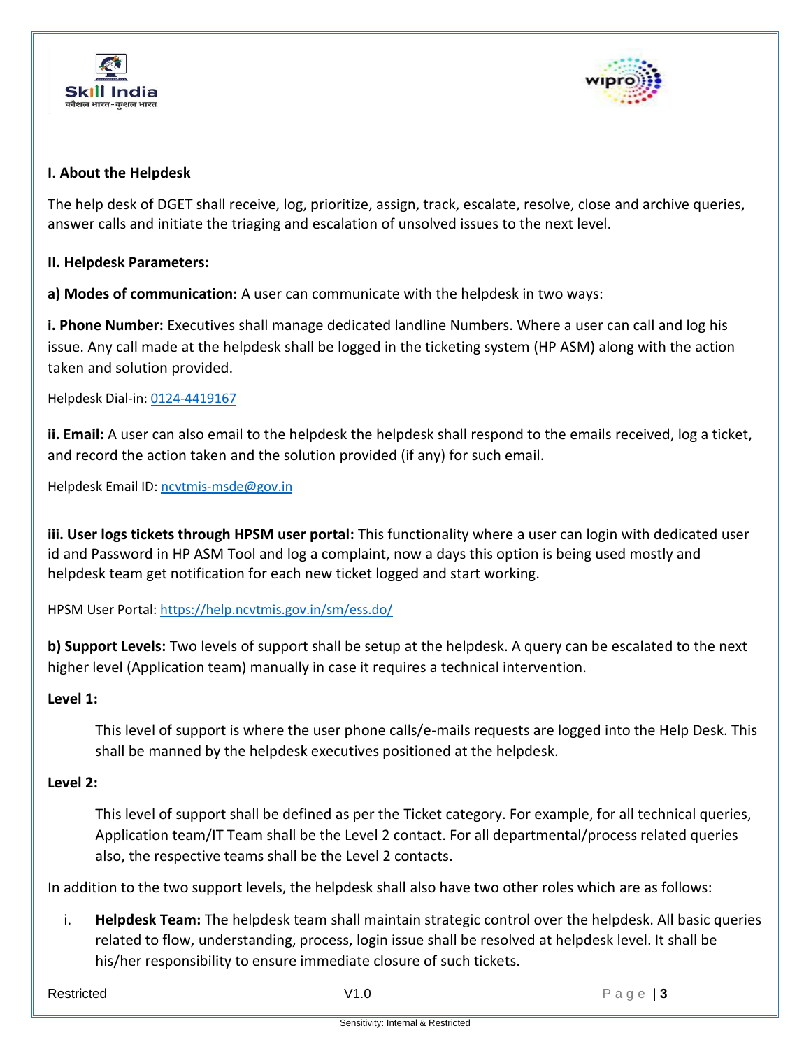



#### **I. About the Helpdesk**

The help desk of DGET shall receive, log, prioritize, assign, track, escalate, resolve, close and archive queries, answer calls and initiate the triaging and escalation of unsolved issues to the next level.

#### **II. Helpdesk Parameters:**

**a) Modes of communication:** A user can communicate with the helpdesk in two ways:

**i. Phone Number:** Executives shall manage dedicated landline Numbers. Where a user can call and log his issue. Any call made at the helpdesk shall be logged in the ticketing system (HP ASM) along with the action taken and solution provided.

Helpdesk Dial-in: 0124-4419167

**ii. Email:** A user can also email to the helpdesk the helpdesk shall respond to the emails received, log a ticket, and record the action taken and the solution provided (if any) for such email.

Helpdesk Email ID[: ncvtmis-msde@gov.in](mailto:ncvtmis-msde@gov.in)

**iii. User logs tickets through HPSM user portal:** This functionality where a user can login with dedicated user id and Password in HP ASM Tool and log a complaint, now a days this option is being used mostly and helpdesk team get notification for each new ticket logged and start working.

HPSM User Portal: [https://help.ncvtmis.gov.in/sm/ess.do/](https://apc01.safelinks.protection.outlook.com/?url=https%3A%2F%2Fhelp.ncvtmis.gov.in%2Fsm%2Fess.do%2F&data=02%7C01%7Cneeraj.rathi2%40wipro.com%7Ca38dae66cc40471daaed08d818c8165a%7C258ac4e4146a411e9dc879a9e12fd6da%7C0%7C0%7C637286594934184288&sdata=jqpTjCANIjBVitHAUNDDZUu4x52CTk0re4mHnMemOM4%3D&reserved=0)

**b) Support Levels:** Two levels of support shall be setup at the helpdesk. A query can be escalated to the next higher level (Application team) manually in case it requires a technical intervention.

#### **Level 1:**

This level of support is where the user phone calls/e-mails requests are logged into the Help Desk. This shall be manned by the helpdesk executives positioned at the helpdesk.

#### **Level 2:**

This level of support shall be defined as per the Ticket category. For example, for all technical queries, Application team/IT Team shall be the Level 2 contact. For all departmental/process related queries also, the respective teams shall be the Level 2 contacts.

In addition to the two support levels, the helpdesk shall also have two other roles which are as follows:

i. **Helpdesk Team:** The helpdesk team shall maintain strategic control over the helpdesk. All basic queries related to flow, understanding, process, login issue shall be resolved at helpdesk level. It shall be his/her responsibility to ensure immediate closure of such tickets.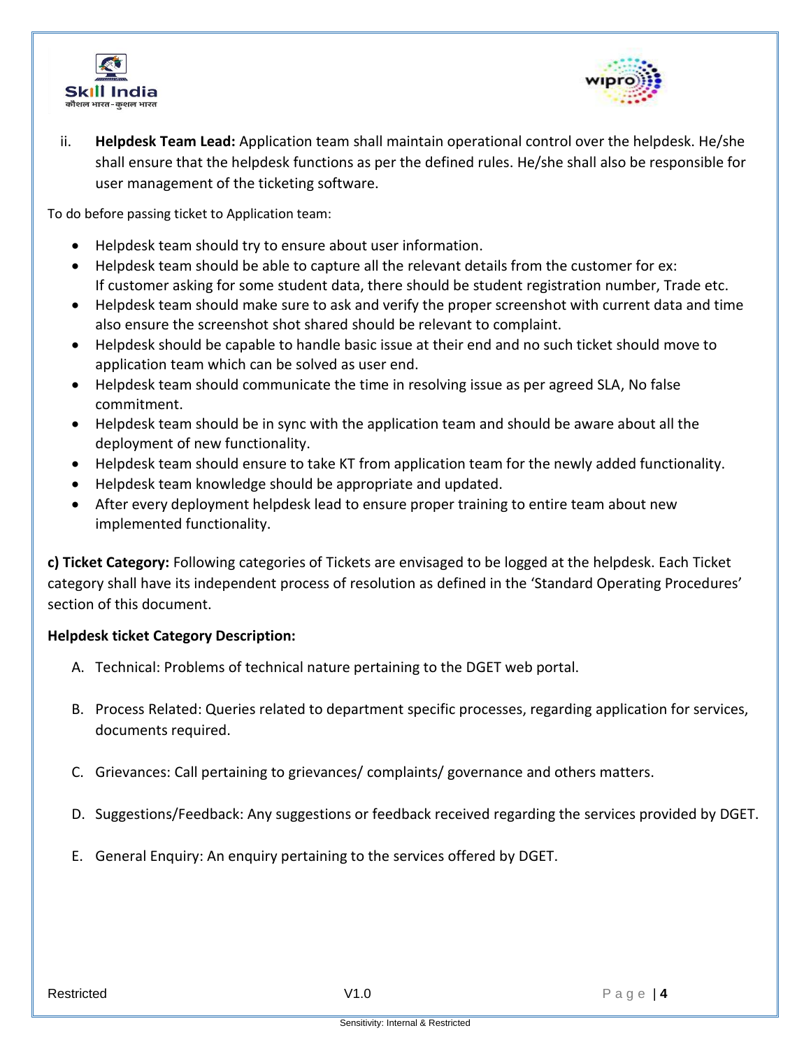



ii. **Helpdesk Team Lead:** Application team shall maintain operational control over the helpdesk. He/she shall ensure that the helpdesk functions as per the defined rules. He/she shall also be responsible for user management of the ticketing software.

To do before passing ticket to Application team:

- Helpdesk team should try to ensure about user information.
- Helpdesk team should be able to capture all the relevant details from the customer for ex: If customer asking for some student data, there should be student registration number, Trade etc.
- Helpdesk team should make sure to ask and verify the proper screenshot with current data and time also ensure the screenshot shot shared should be relevant to complaint.
- Helpdesk should be capable to handle basic issue at their end and no such ticket should move to application team which can be solved as user end.
- Helpdesk team should communicate the time in resolving issue as per agreed SLA, No false commitment.
- Helpdesk team should be in sync with the application team and should be aware about all the deployment of new functionality.
- Helpdesk team should ensure to take KT from application team for the newly added functionality.
- Helpdesk team knowledge should be appropriate and updated.
- After every deployment helpdesk lead to ensure proper training to entire team about new implemented functionality.

**c) Ticket Category:** Following categories of Tickets are envisaged to be logged at the helpdesk. Each Ticket category shall have its independent process of resolution as defined in the 'Standard Operating Procedures' section of this document.

#### **Helpdesk ticket Category Description:**

- A. Technical: Problems of technical nature pertaining to the DGET web portal.
- B. Process Related: Queries related to department specific processes, regarding application for services, documents required.
- C. Grievances: Call pertaining to grievances/ complaints/ governance and others matters.
- D. Suggestions/Feedback: Any suggestions or feedback received regarding the services provided by DGET.
- E. General Enquiry: An enquiry pertaining to the services offered by DGET.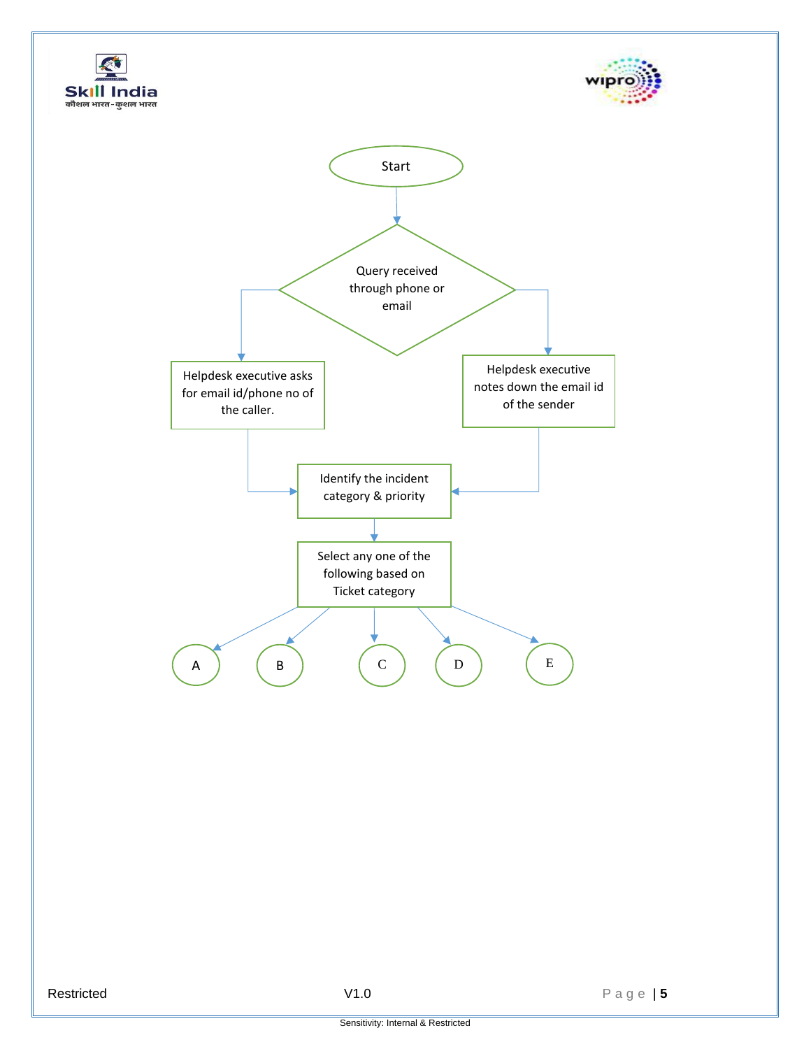



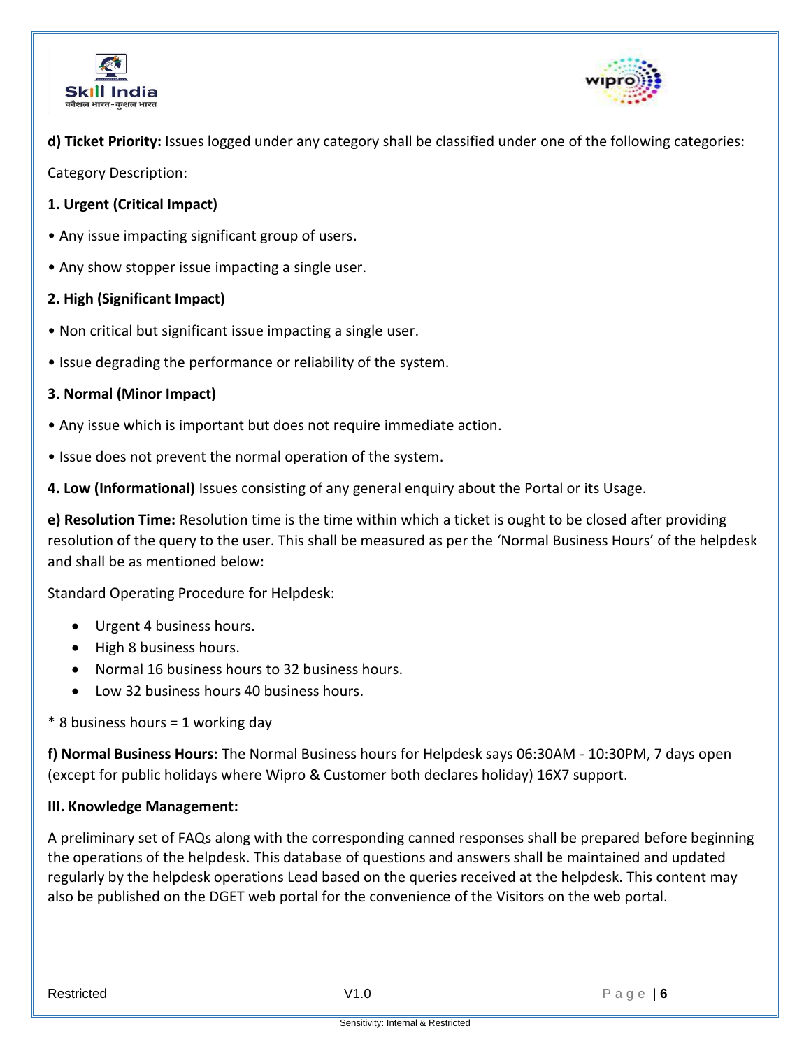



**d) Ticket Priority:** Issues logged under any category shall be classified under one of the following categories:

Category Description:

- **1. Urgent (Critical Impact)**
- Any issue impacting significant group of users.
- Any show stopper issue impacting a single user.

# **2. High (Significant Impact)**

- Non critical but significant issue impacting a single user.
- Issue degrading the performance or reliability of the system.

# **3. Normal (Minor Impact)**

- Any issue which is important but does not require immediate action.
- Issue does not prevent the normal operation of the system.

**4. Low (Informational)** Issues consisting of any general enquiry about the Portal or its Usage.

**e) Resolution Time:** Resolution time is the time within which a ticket is ought to be closed after providing resolution of the query to the user. This shall be measured as per the 'Normal Business Hours' of the helpdesk and shall be as mentioned below:

Standard Operating Procedure for Helpdesk:

- Urgent 4 business hours.
- High 8 business hours.
- Normal 16 business hours to 32 business hours.
- Low 32 business hours 40 business hours.
- \* 8 business hours = 1 working day

**f) Normal Business Hours:** The Normal Business hours for Helpdesk says 06:30AM - 10:30PM, 7 days open (except for public holidays where Wipro & Customer both declares holiday) 16X7 support.

# **III. Knowledge Management:**

A preliminary set of FAQs along with the corresponding canned responses shall be prepared before beginning the operations of the helpdesk. This database of questions and answers shall be maintained and updated regularly by the helpdesk operations Lead based on the queries received at the helpdesk. This content may also be published on the DGET web portal for the convenience of the Visitors on the web portal.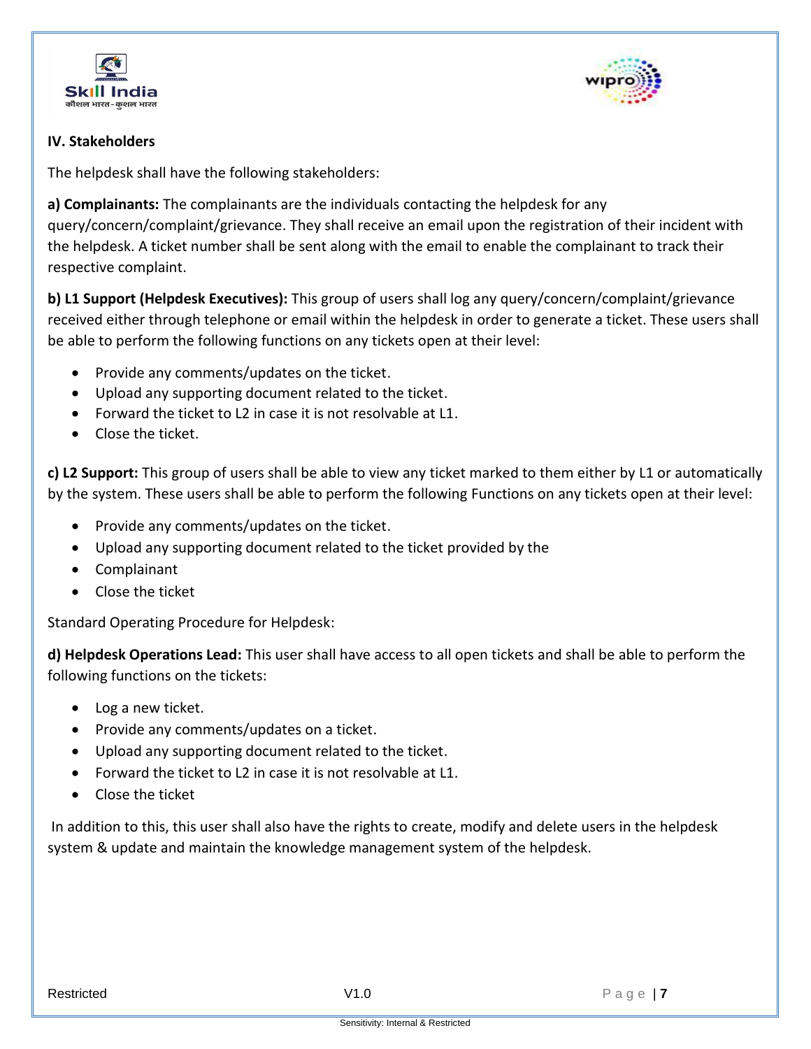



# **IV. Stakeholders**

The helpdesk shall have the following stakeholders:

**a) Complainants:** The complainants are the individuals contacting the helpdesk for any query/concern/complaint/grievance. They shall receive an email upon the registration of their incident with the helpdesk. A ticket number shall be sent along with the email to enable the complainant to track their respective complaint.

**b) L1 Support (Helpdesk Executives):** This group of users shall log any query/concern/complaint/grievance received either through telephone or email within the helpdesk in order to generate a ticket. These users shall be able to perform the following functions on any tickets open at their level:

- Provide any comments/updates on the ticket.
- Upload any supporting document related to the ticket.
- Forward the ticket to L2 in case it is not resolvable at L1.
- Close the ticket.

**c) L2 Support:** This group of users shall be able to view any ticket marked to them either by L1 or automatically by the system. These users shall be able to perform the following Functions on any tickets open at their level:

- Provide any comments/updates on the ticket.
- Upload any supporting document related to the ticket provided by the
- Complainant
- Close the ticket

Standard Operating Procedure for Helpdesk:

**d) Helpdesk Operations Lead:** This user shall have access to all open tickets and shall be able to perform the following functions on the tickets:

- Log a new ticket.
- Provide any comments/updates on a ticket.
- Upload any supporting document related to the ticket.
- Forward the ticket to L2 in case it is not resolvable at L1.
- Close the ticket

In addition to this, this user shall also have the rights to create, modify and delete users in the helpdesk system & update and maintain the knowledge management system of the helpdesk.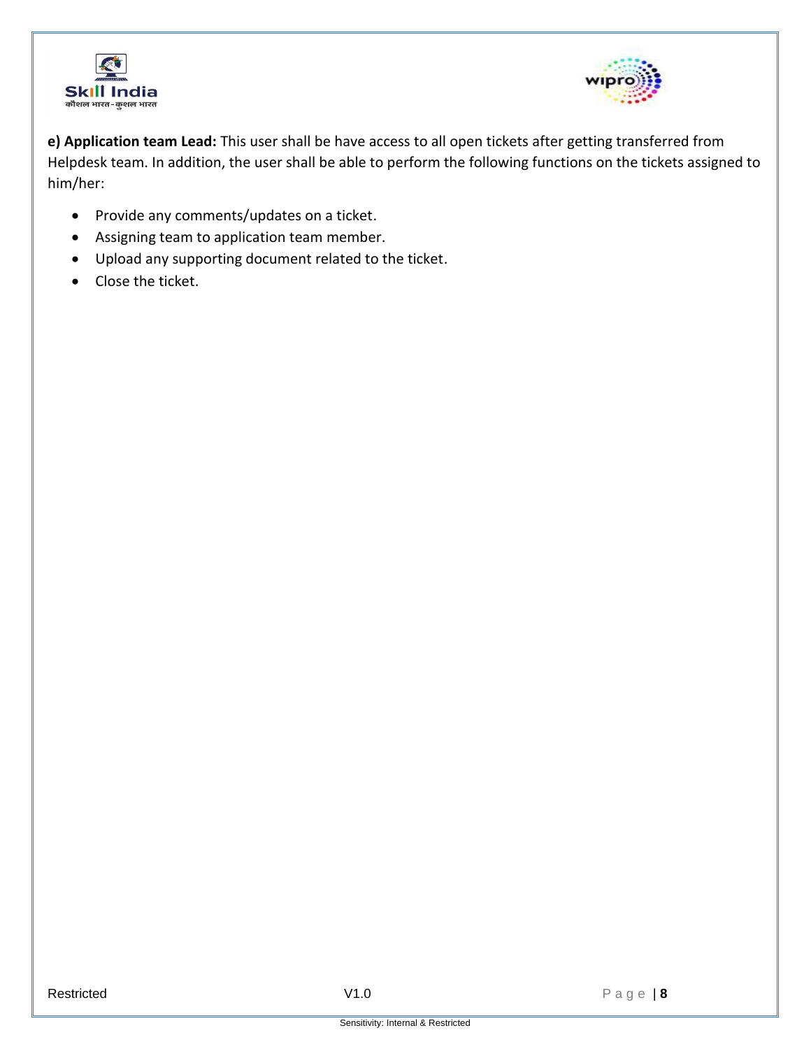



**e) Application team Lead:** This user shall be have access to all open tickets after getting transferred from Helpdesk team. In addition, the user shall be able to perform the following functions on the tickets assigned to him/her:

- Provide any comments/updates on a ticket.
- Assigning team to application team member.
- Upload any supporting document related to the ticket.
- Close the ticket.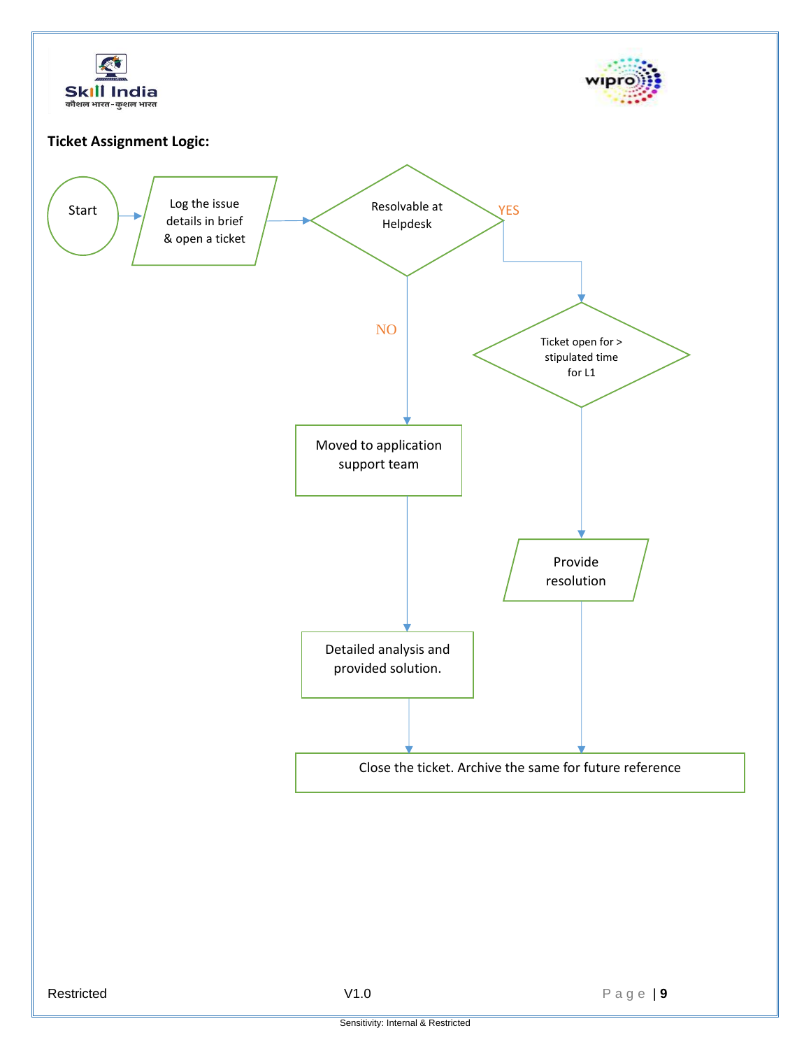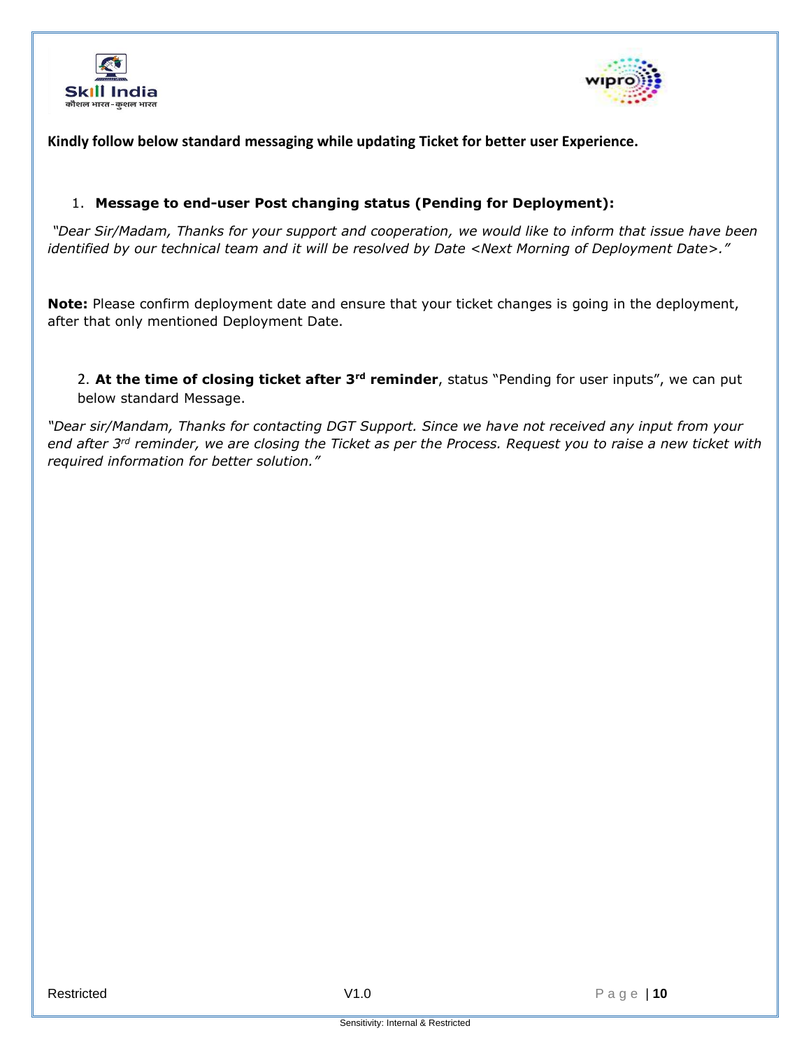



#### **Kindly follow below standard messaging while updating Ticket for better user Experience.**

#### 1. **Message to end-user Post changing status (Pending for Deployment):**

*"Dear Sir/Madam, Thanks for your support and cooperation, we would like to inform that issue have been identified by our technical team and it will be resolved by Date <Next Morning of Deployment Date>."*

**Note:** Please confirm deployment date and ensure that your ticket changes is going in the deployment, after that only mentioned Deployment Date.

2. **At the time of closing ticket after 3rd reminder**, status "Pending for user inputs", we can put below standard Message.

*"Dear sir/Mandam, Thanks for contacting DGT Support. Since we have not received any input from your end after 3rd reminder, we are closing the Ticket as per the Process. Request you to raise a new ticket with required information for better solution."*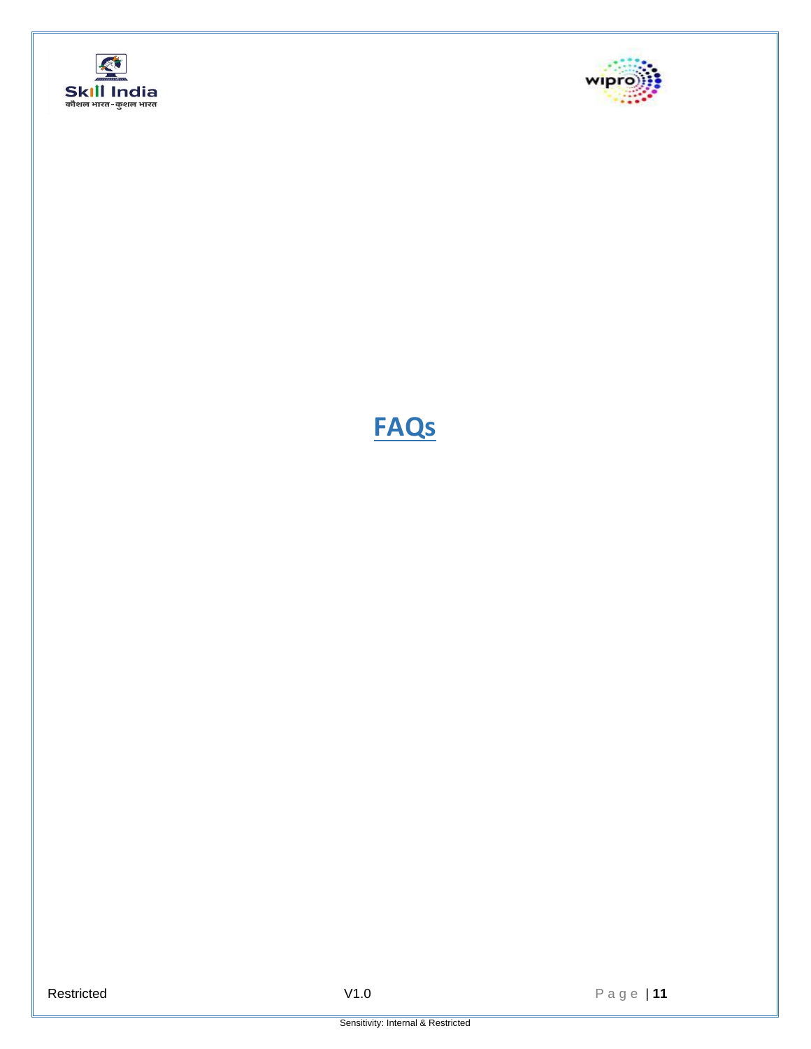



# **FAQs**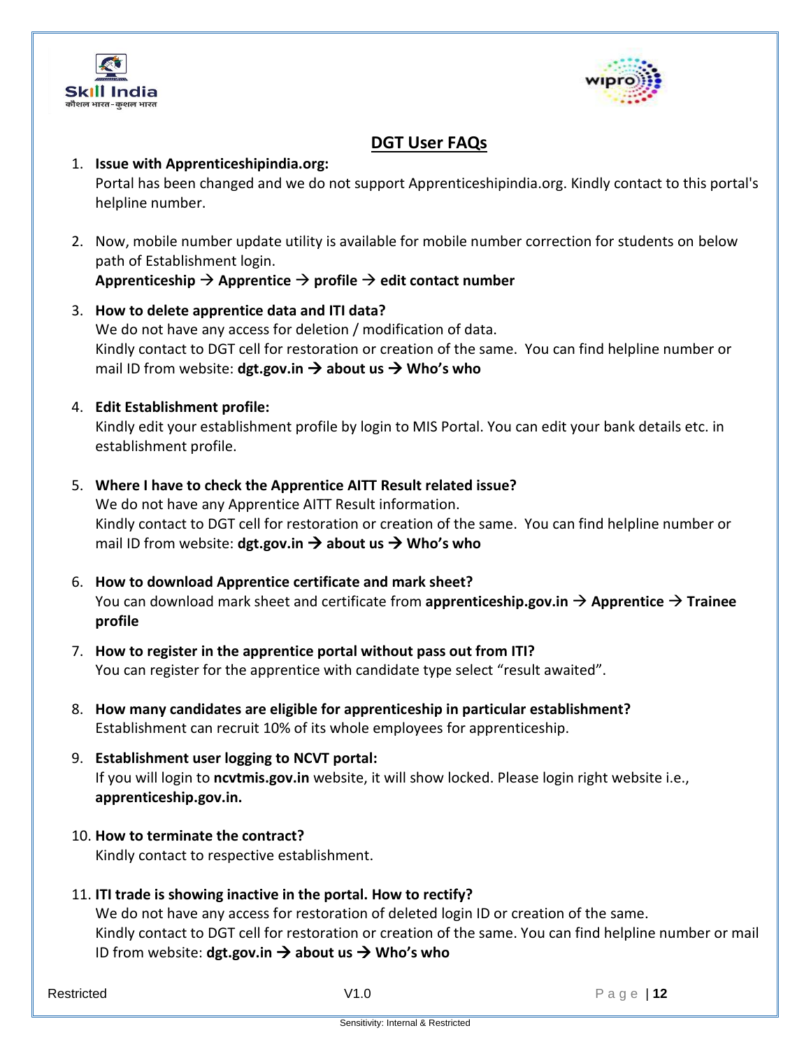



# **DGT User FAQs**

## 1. **Issue with Apprenticeshipindia.org:**  Portal has been changed and we do not support Apprenticeshipindia.org. Kindly contact to this portal's helpline number.

2. Now, mobile number update utility is available for mobile number correction for students on below path of Establishment login.

**Apprenticeship** → **Apprentice** → **profile** → **edit contact number**

3. **How to delete apprentice data and ITI data?** We do not have any access for deletion / modification of data. Kindly contact to DGT cell for restoration or creation of the same. You can find helpline number or mail ID from website: **dgt.gov.in** → **about us** → **Who's who**

# 4. **Edit Establishment profile:**

Kindly edit your establishment profile by login to MIS Portal. You can edit your bank details etc. in establishment profile.

5. **Where I have to check the Apprentice AITT Result related issue?**

We do not have any Apprentice AITT Result information. Kindly contact to DGT cell for restoration or creation of the same. You can find helpline number or mail ID from website: **dgt.gov.in** → **about us** → **Who's who**

- 6. **How to download Apprentice certificate and mark sheet?** You can download mark sheet and certificate from **apprenticeship.gov.in** → **Apprentice** → **Trainee profile**
- 7. **How to register in the apprentice portal without pass out from ITI?**  You can register for the apprentice with candidate type select "result awaited".
- 8. **How many candidates are eligible for apprenticeship in particular establishment?** Establishment can recruit 10% of its whole employees for apprenticeship.
- 9. **Establishment user logging to NCVT portal:** If you will login to **ncvtmis.gov.in** website, it will show locked. Please login right website i.e., **apprenticeship.gov.in.**
- 10. **How to terminate the contract?**  Kindly contact to respective establishment.
- 11. **ITI trade is showing inactive in the portal. How to rectify?**

We do not have any access for restoration of deleted login ID or creation of the same. Kindly contact to DGT cell for restoration or creation of the same. You can find helpline number or mail ID from website: **dgt.gov.in** → **about us** → **Who's who**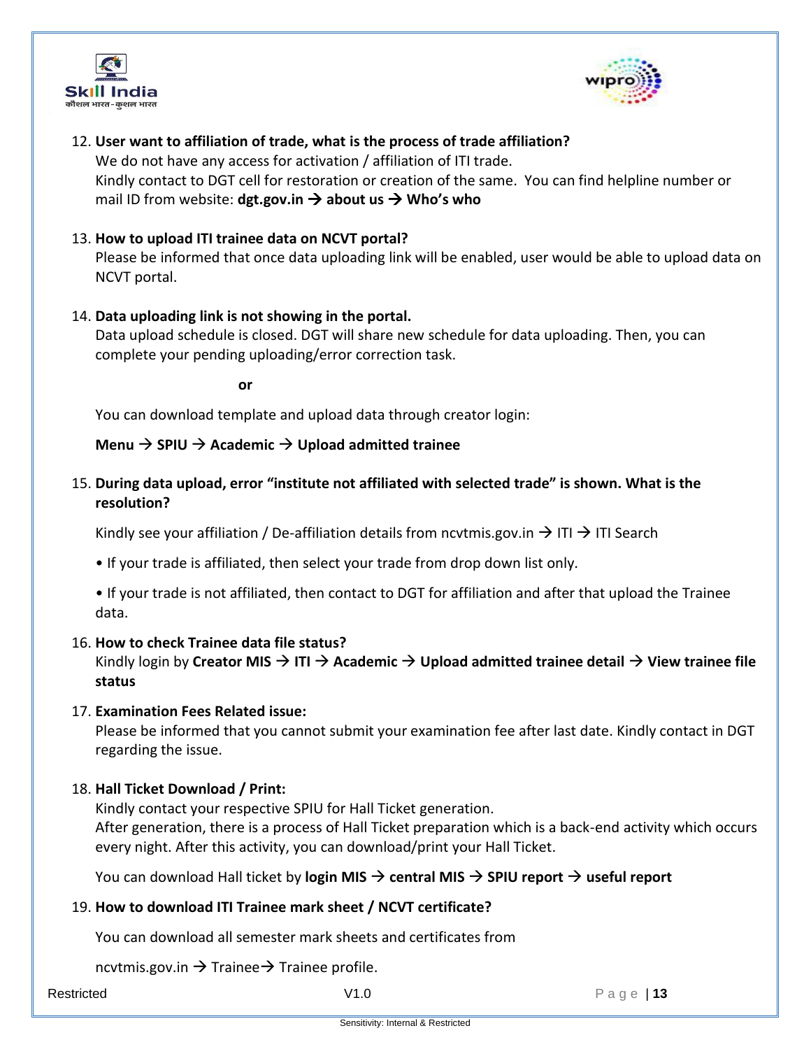



# 12. **User want to affiliation of trade, what is the process of trade affiliation?**

We do not have any access for activation / affiliation of ITI trade. Kindly contact to DGT cell for restoration or creation of the same. You can find helpline number or mail ID from website: **dgt.gov.in** → **about us** → **Who's who**

## 13. **How to upload ITI trainee data on NCVT portal?**

Please be informed that once data uploading link will be enabled, user would be able to upload data on NCVT portal.

## 14. **Data uploading link is not showing in the portal.**

Data upload schedule is closed. DGT will share new schedule for data uploading. Then, you can complete your pending uploading/error correction task.

**or**

You can download template and upload data through creator login:

## **Menu** → **SPIU** → **Academic** → **Upload admitted trainee**

# 15. **During data upload, error "institute not affiliated with selected trade" is shown. What is the resolution?**

Kindly see your affiliation / De-affiliation details from ncvtmis.gov.in  $\rightarrow$  ITI  $\rightarrow$  ITI Search

• If your trade is affiliated, then select your trade from drop down list only.

• If your trade is not affiliated, then contact to DGT for affiliation and after that upload the Trainee data.

#### 16. **How to check Trainee data file status?**

Kindly login by **Creator MIS** → **ITI** → **Academic** → **Upload admitted trainee detail** → **View trainee file status**

# 17. **Examination Fees Related issue:**

Please be informed that you cannot submit your examination fee after last date. Kindly contact in DGT regarding the issue.

#### 18. **Hall Ticket Download / Print:**

Kindly contact your respective SPIU for Hall Ticket generation. After generation, there is a process of Hall Ticket preparation which is a back-end activity which occurs every night. After this activity, you can download/print your Hall Ticket.

You can download Hall ticket by **login MIS** → **central MIS** → **SPIU report** → **useful report**

# 19. **How to download ITI Trainee mark sheet / NCVT certificate?**

You can download all semester mark sheets and certificates from

ncvtmis.gov.in  $\rightarrow$  Trainee  $\rightarrow$  Trainee profile.

Restricted Page | **13**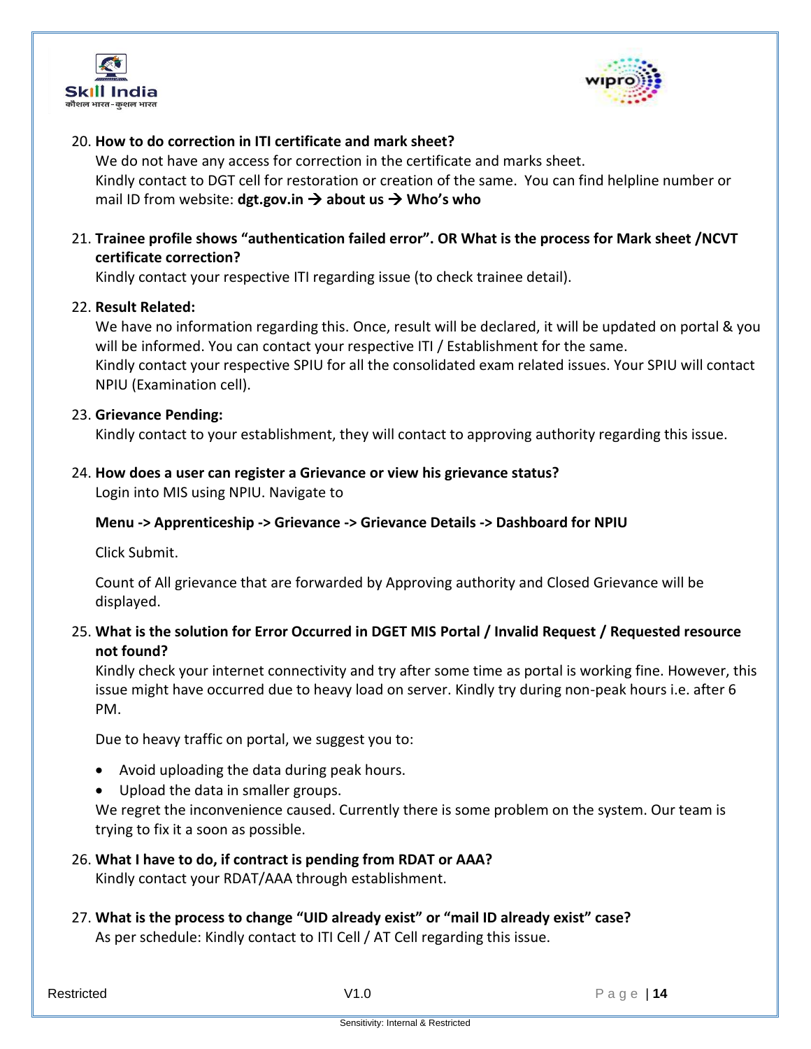



# 20. **How to do correction in ITI certificate and mark sheet?**

We do not have any access for correction in the certificate and marks sheet. Kindly contact to DGT cell for restoration or creation of the same. You can find helpline number or mail ID from website: **dgt.gov.in** → **about us** → **Who's who**

21. **Trainee profile shows "authentication failed error". OR What is the process for Mark sheet /NCVT certificate correction?** 

Kindly contact your respective ITI regarding issue (to check trainee detail).

#### 22. **Result Related:**

We have no information regarding this. Once, result will be declared, it will be updated on portal & you will be informed. You can contact your respective ITI / Establishment for the same. Kindly contact your respective SPIU for all the consolidated exam related issues. Your SPIU will contact NPIU (Examination cell).

## 23. **Grievance Pending:**

Kindly contact to your establishment, they will contact to approving authority regarding this issue.

#### 24. **How does a user can register a Grievance or view his grievance status?**

Login into MIS using NPIU. Navigate to

#### **Menu -> Apprenticeship -> Grievance -> Grievance Details -> Dashboard for NPIU**

Click Submit.

Count of All grievance that are forwarded by Approving authority and Closed Grievance will be displayed.

# 25. **What is the solution for Error Occurred in DGET MIS Portal / Invalid Request / Requested resource not found?**

Kindly check your internet connectivity and try after some time as portal is working fine. However, this issue might have occurred due to heavy load on server. Kindly try during non-peak hours i.e. after 6 PM.

Due to heavy traffic on portal, we suggest you to:

- Avoid uploading the data during peak hours.
- Upload the data in smaller groups.

We regret the inconvenience caused. Currently there is some problem on the system. Our team is trying to fix it a soon as possible.

26. **What I have to do, if contract is pending from RDAT or AAA?** 

Kindly contact your RDAT/AAA through establishment.

27. **What is the process to change "UID already exist" or "mail ID already exist" case?** As per schedule: Kindly contact to ITI Cell / AT Cell regarding this issue.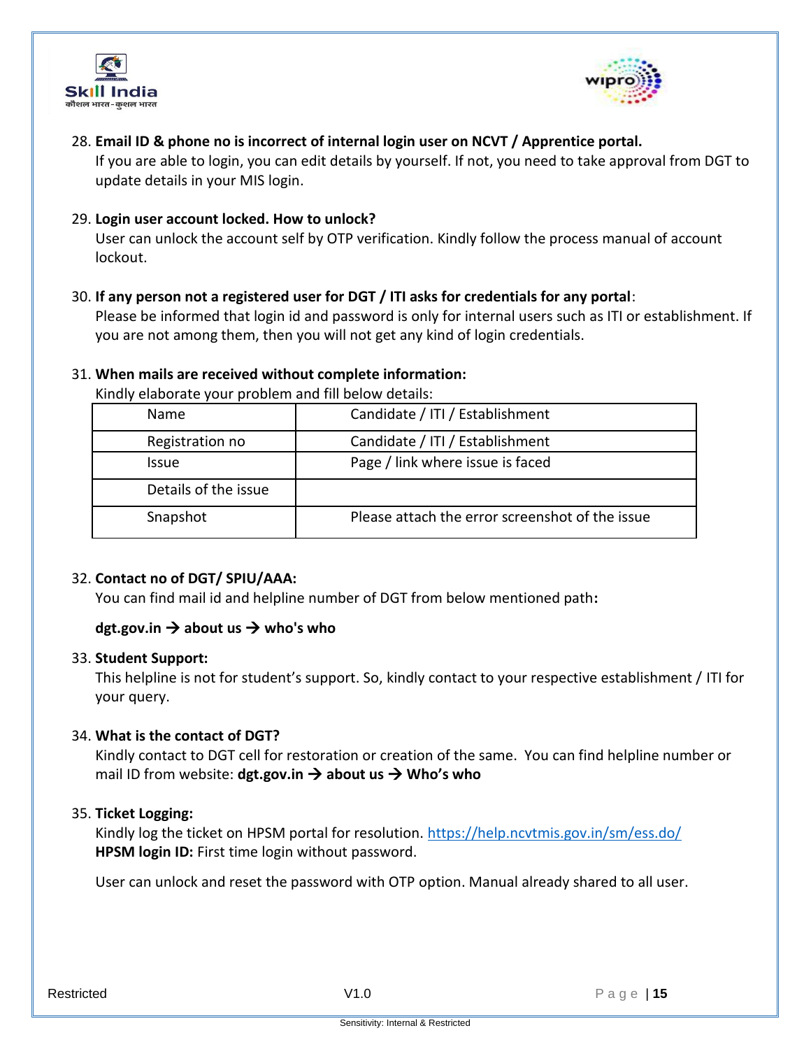



# 28. **Email ID & phone no is incorrect of internal login user on NCVT / Apprentice portal.**

If you are able to login, you can edit details by yourself. If not, you need to take approval from DGT to update details in your MIS login.

## 29. **Login user account locked. How to unlock?**

User can unlock the account self by OTP verification. Kindly follow the process manual of account lockout.

#### 30. **If any person not a registered user for DGT / ITI asks for credentials for any portal**:

Please be informed that login id and password is only for internal users such as ITI or establishment. If you are not among them, then you will not get any kind of login credentials.

#### 31. **When mails are received without complete information:**

Kindly elaborate your problem and fill below details:

| <b>Name</b>          | Candidate / ITI / Establishment                 |
|----------------------|-------------------------------------------------|
| Registration no      | Candidate / ITI / Establishment                 |
| <b>Issue</b>         | Page / link where issue is faced                |
| Details of the issue |                                                 |
| Snapshot             | Please attach the error screenshot of the issue |

#### 32. **Contact no of DGT/ SPIU/AAA:**

You can find mail id and helpline number of DGT from below mentioned path**:** 

# **dgt.gov.in** → **about us** → **who's who**

#### 33. **Student Support:**

This helpline is not for student's support. So, kindly contact to your respective establishment / ITI for your query.

#### 34. **What is the contact of DGT?**

Kindly contact to DGT cell for restoration or creation of the same. You can find helpline number or mail ID from website: **dgt.gov.in** → **about us** → **Who's who**

#### 35. **Ticket Logging:**

Kindly log the ticket on HPSM portal for resolution.<https://help.ncvtmis.gov.in/sm/ess.do/> **HPSM login ID:** First time login without password.

User can unlock and reset the password with OTP option. Manual already shared to all user.